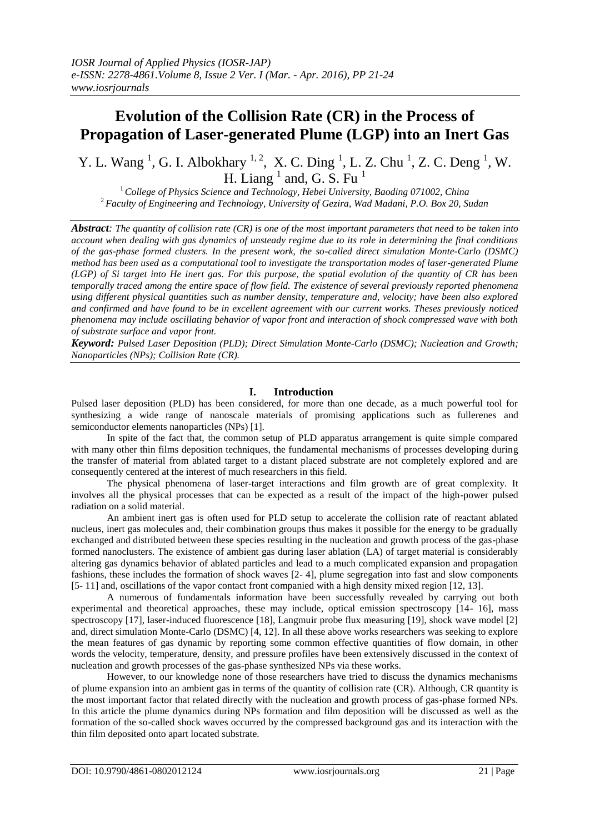# **Evolution of the Collision Rate (CR) in the Process of Propagation of Laser-generated Plume (LGP) into an Inert Gas**

Y. L. Wang<sup>1</sup>, G. I. Albokhary<sup>1, 2</sup>, X. C. Ding<sup>1</sup>, L. Z. Chu<sup>1</sup>, Z. C. Deng<sup>1</sup>, W. H. Liang  $<sup>1</sup>$  and, G. S. Fu  $<sup>1</sup>$ </sup></sup>

<sup>1</sup>*College of Physics Science and Technology, Hebei University, Baoding 071002, China* <sup>2</sup>*Faculty of Engineering and Technology, University of Gezira, Wad Madani, P.O. Box 20, Sudan*

*Abstract: The quantity of collision rate (CR) is one of the most important parameters that need to be taken into account when dealing with gas dynamics of unsteady regime due to its role in determining the final conditions of the gas-phase formed clusters. In the present work, the so-called direct simulation Monte-Carlo (DSMC) method has been used as a computational tool to investigate the transportation modes of laser-generated Plume (LGP) of Si target into He inert gas. For this purpose, the spatial evolution of the quantity of CR has been temporally traced among the entire space of flow field. The existence of several previously reported phenomena using different physical quantities such as number density, temperature and, velocity; have been also explored and confirmed and have found to be in excellent agreement with our current works. Theses previously noticed phenomena may include oscillating behavior of vapor front and interaction of shock compressed wave with both of substrate surface and vapor front.*

*Keyword: Pulsed Laser Deposition (PLD); Direct Simulation Monte-Carlo (DSMC); Nucleation and Growth; Nanoparticles (NPs); Collision Rate (CR).*

# **I. Introduction**

Pulsed laser deposition (PLD) has been considered, for more than one decade, as a much powerful tool for synthesizing a wide range of nanoscale materials of promising applications such as fullerenes and semiconductor elements nanoparticles (NPs) [1].

In spite of the fact that, the common setup of PLD apparatus arrangement is quite simple compared with many other thin films deposition techniques, the fundamental mechanisms of processes developing during the transfer of material from ablated target to a distant placed substrate are not completely explored and are consequently centered at the interest of much researchers in this field.

The physical phenomena of laser-target interactions and film growth are of great complexity. It involves all the physical processes that can be expected as a result of the impact of the high-power pulsed radiation on a solid material.

An ambient inert gas is often used for PLD setup to accelerate the collision rate of reactant ablated nucleus, inert gas molecules and, their combination groups thus makes it possible for the energy to be gradually exchanged and distributed between these species resulting in the nucleation and growth process of the gas-phase formed nanoclusters. The existence of ambient gas during laser ablation (LA) of target material is considerably altering gas dynamics behavior of ablated particles and lead to a much complicated expansion and propagation fashions, these includes the formation of shock waves [2- 4], plume segregation into fast and slow components [5- 11] and, oscillations of the vapor contact front companied with a high density mixed region [12, 13].

A numerous of fundamentals information have been successfully revealed by carrying out both experimental and theoretical approaches, these may include, optical emission spectroscopy [14- 16], mass spectroscopy [17], laser-induced fluorescence [18], Langmuir probe flux measuring [19], shock wave model [2] and, direct simulation Monte-Carlo (DSMC) [4, 12]. In all these above works researchers was seeking to explore the mean features of gas dynamic by reporting some common effective quantities of flow domain, in other words the velocity, temperature, density, and pressure profiles have been extensively discussed in the context of nucleation and growth processes of the gas-phase synthesized NPs via these works.

However, to our knowledge none of those researchers have tried to discuss the dynamics mechanisms of plume expansion into an ambient gas in terms of the quantity of collision rate (CR). Although, CR quantity is the most important factor that related directly with the nucleation and growth process of gas-phase formed NPs. In this article the plume dynamics during NPs formation and film deposition will be discussed as well as the formation of the so-called shock waves occurred by the compressed background gas and its interaction with the thin film deposited onto apart located substrate.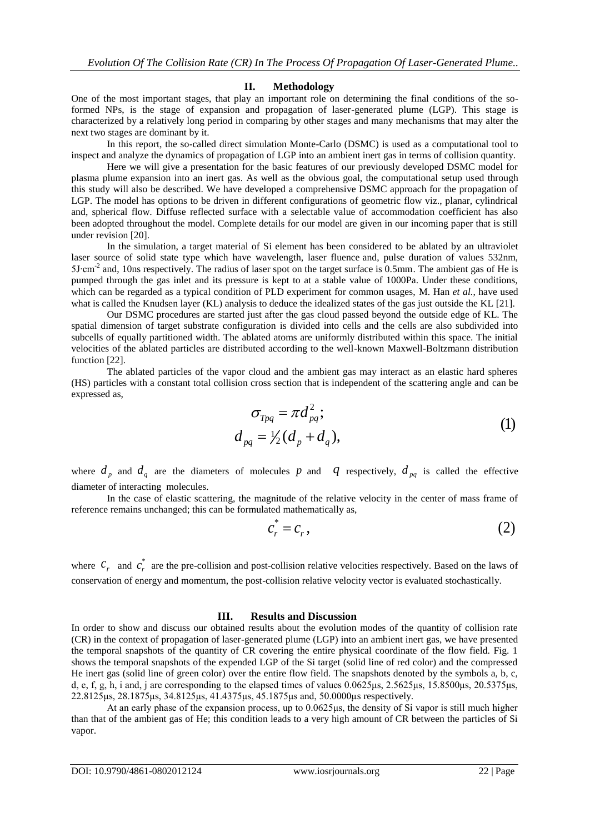## **II. Methodology**

One of the most important stages, that play an important role on determining the final conditions of the soformed NPs, is the stage of expansion and propagation of laser-generated plume (LGP). This stage is characterized by a relatively long period in comparing by other stages and many mechanisms that may alter the next two stages are dominant by it.

In this report, the so-called direct simulation Monte-Carlo (DSMC) is used as a computational tool to inspect and analyze the dynamics of propagation of LGP into an ambient inert gas in terms of collision quantity.

Here we will give a presentation for the basic features of our previously developed DSMC model for plasma plume expansion into an inert gas. As well as the obvious goal, the computational setup used through this study will also be described. We have developed a comprehensive DSMC approach for the propagation of LGP. The model has options to be driven in different configurations of geometric flow viz., planar, cylindrical and, spherical flow. Diffuse reflected surface with a selectable value of accommodation coefficient has also been adopted throughout the model. Complete details for our model are given in our incoming paper that is still under revision [20].

In the simulation, a target material of Si element has been considered to be ablated by an ultraviolet laser source of solid state type which have wavelength, laser fluence and, pulse duration of values 532nm, 5J∙cm-2 and, 10ns respectively. The radius of laser spot on the target surface is 0.5mm. The ambient gas of He is pumped through the gas inlet and its pressure is kept to at a stable value of 1000Pa. Under these conditions, which can be regarded as a typical condition of PLD experiment for common usages, M. Han *et al.*, have used what is called the Knudsen layer (KL) analysis to deduce the idealized states of the gas just outside the KL [21].

Our DSMC procedures are started just after the gas cloud passed beyond the outside edge of KL. The spatial dimension of target substrate configuration is divided into cells and the cells are also subdivided into subcells of equally partitioned width. The ablated atoms are uniformly distributed within this space. The initial velocities of the ablated particles are distributed according to the well-known Maxwell-Boltzmann distribution function [22].

The ablated particles of the vapor cloud and the ambient gas may interact as an elastic hard spheres (HS) particles with a constant total collision cross section that is independent of the scattering angle and can be expressed as,<br>  $\sigma_{Tpq} = \pi d_{pq}^2$ ; expressed as,

$$
\sigma_{Tpq} = \pi d_{pq}^2;
$$
  
\n
$$
d_{pq} = \frac{1}{2} (d_p + d_q),
$$
\n(1)

where  $d_p$  and  $d_q$  are the diameters of molecules p and q respectively,  $d_{pq}$  is called the effective diameter of interacting molecules.

In the case of elastic scattering, the magnitude of the relative velocity in the center of mass frame of remains unchanged; this can be formulated mathematically as,<br> $c_r^* = c_r$ , (2) reference remains unchanged; this can be formulated mathematically as,<br>  $c_r^* = c_r$ ,

$$
c_r^* = c_r, \tag{2}
$$

where  $c_r$  and  $c_r^*$  $c_{r}^{*}$  are the pre-collision and post-collision relative velocities respectively. Based on the laws of conservation of energy and momentum, the post-collision relative velocity vector is evaluated stochastically.

### **III. Results and Discussion**

In order to show and discuss our obtained results about the evolution modes of the quantity of collision rate (CR) in the context of propagation of laser-generated plume (LGP) into an ambient inert gas, we have presented the temporal snapshots of the quantity of CR covering the entire physical coordinate of the flow field. Fig. 1 shows the temporal snapshots of the expended LGP of the Si target (solid line of red color) and the compressed He inert gas (solid line of green color) over the entire flow field. The snapshots denoted by the symbols a, b, c, d, e, f, g, h, i and, j are corresponding to the elapsed times of values 0.0625μs, 2.5625μs, 15.8500μs, 20.5375μs, 22.8125μs, 28.1875μs, 34.8125μs, 41.4375μs, 45.1875μs and, 50.0000μs respectively.

At an early phase of the expansion process, up to 0.0625μs, the density of Si vapor is still much higher than that of the ambient gas of He; this condition leads to a very high amount of CR between the particles of Si vapor.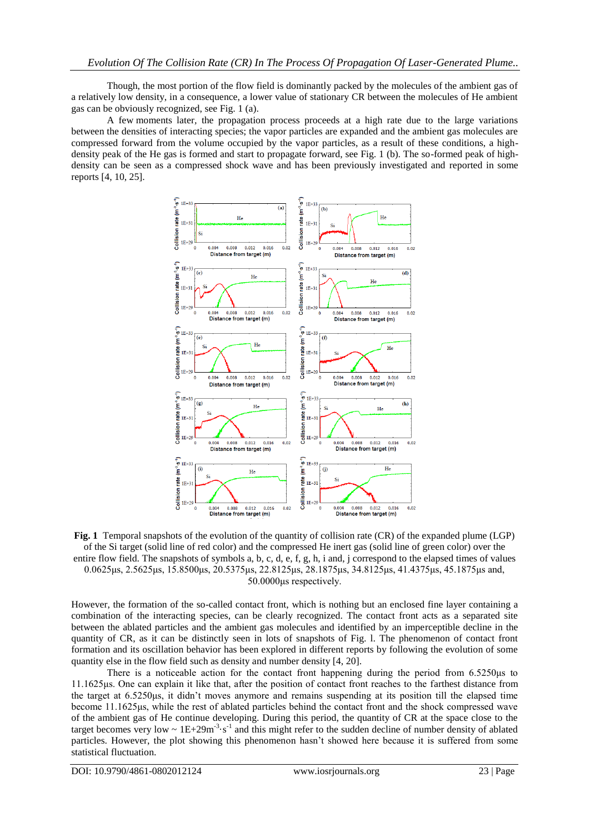Though, the most portion of the flow field is dominantly packed by the molecules of the ambient gas of a relatively low density, in a consequence, a lower value of stationary CR between the molecules of He ambient gas can be obviously recognized, see Fig. 1 (a).

A few moments later*,* the propagation process proceeds at a high rate due to the large variations between the densities of interacting species; the vapor particles are expanded and the ambient gas molecules are compressed forward from the volume occupied by the vapor particles, as a result of these conditions, a highdensity peak of the He gas is formed and start to propagate forward, see Fig. 1 (b). The so-formed peak of highdensity can be seen as a compressed shock wave and has been previously investigated and reported in some reports [4, 10, 25].



**Fig. 1** Temporal snapshots of the evolution of the quantity of collision rate (CR) of the expanded plume (LGP) of the Si target (solid line of red color) and the compressed He inert gas (solid line of green color) over the entire flow field. The snapshots of symbols a, b, c, d, e, f, g, h, i and, j correspond to the elapsed times of values 0.0625μs, 2.5625μs, 15.8500μs, 20.5375μs, 22.8125μs, 28.1875μs, 34.8125μs, 41.4375μs, 45.1875μs and, 50.0000μs respectively.

However, the formation of the so-called contact front, which is nothing but an enclosed fine layer containing a combination of the interacting species, can be clearly recognized. The contact front acts as a separated site between the ablated particles and the ambient gas molecules and identified by an imperceptible decline in the quantity of CR, as it can be distinctly seen in lots of snapshots of Fig. l. The phenomenon of contact front formation and its oscillation behavior has been explored in different reports by following the evolution of some quantity else in the flow field such as density and number density [4, 20].

There is a noticeable action for the contact front happening during the period from 6.5250μs to 11.1625μs. One can explain it like that, after the position of contact front reaches to the farthest distance from the target at 6.5250μs, it didn't moves anymore and remains suspending at its position till the elapsed time become 11.1625μs, while the rest of ablated particles behind the contact front and the shock compressed wave of the ambient gas of He continue developing. During this period, the quantity of CR at the space close to the target becomes very low  $\sim 1E+29m^{-3} \cdot s^{-1}$  and this might refer to the sudden decline of number density of ablated particles. However, the plot showing this phenomenon hasn't showed here because it is suffered from some statistical fluctuation.